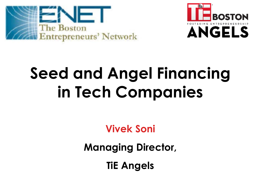



# **Seed and Angel Financing in Tech Companies**

### **Vivek Soni**

**Managing Director,** 

**TiE Angels**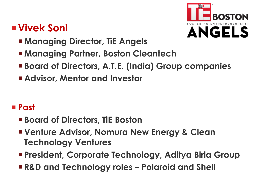## **Vivek Soni**



- **Managing Director, TiE Angels**
- **Managing Partner, Boston Cleantech**
- **Board of Directors, A.T.E. (India) Group companies**
- **Advisor, Mentor and Investor**

### **Past**

- **Board of Directors, TiE Boston**
- **Venture Advisor, Nomura New Energy & Clean Technology Ventures**
- **President, Corporate Technology, Aditya Birla Group**
- **R&D and Technology roles – Polaroid and Shell**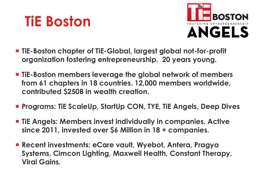# **TiE Boston**



- **TiE-Boston chapter of TiE-Global, largest global not-for-profit organization fostering entrepreneurship. 20 years young.**
- **TiE-Boston members leverage the global network of members from 61 chapters in 18 countries. 12,000 members worldwide, contributed \$250B in wealth creation.**
- **Programs: TiE ScaleUp, StartUp CON, TYE, TiE Angels, Deep Dives**
- **TiE Angels: Members invest individually in companies. Active since 2011, invested over \$6 Million in 18 + companies.**
- **Recent investments: eCare vault, Wyebot, Antera, Pragya Systems, Cimcon Lighting, Maxwell Health, Constant Therapy, Viral Gains.**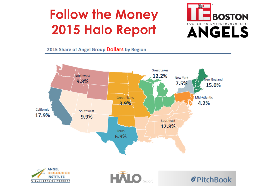## **Follow the Money 2015 Halo Report**



### 2015 Share of Angel Group Dollars by Region





HĂIO

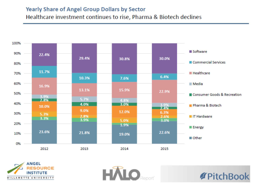### **Yearly Share of Angel Group Dollars by Sector**

Healthcare investment continues to rise, Pharma & Biotech declines



**HALOREDOTE** 

**PitchBook** 

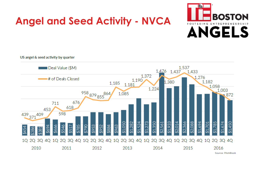## **Angel and Seed Activity - NVCA**



US angel & seed activity by quarter

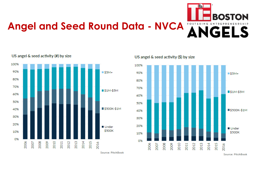



#### US angel  $\&$  seed activity (#) by size

US angel  $\&$  seed activity  $(\$)$  by size



**Source: PitchBook** 

Source: PitchBook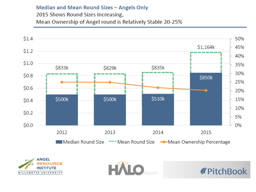### Median and Mean Round Sizes - Angels Only 2015 Shows Round Sizes Increasing, Mean Ownership of Angel round is Relatively Stable 20-25%







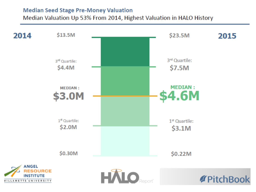### **Median Seed Stage Pre-Money Valuation** Median Valuation Up 53% From 2014, Highest Valuation in HALO History

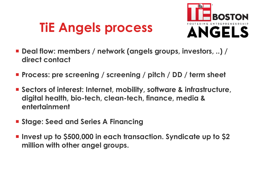# **TiE Angels process**



- **Deal flow: members / network (angels groups, investors, ..) / direct contact**
- **Process: pre screening / screening / pitch / DD / term sheet**
- Sectors of interest: Internet, mobility, software & infrastructure, **digital health, bio-tech, clean-tech, finance, media & entertainment**
- **Stage: Seed and Series A Financing**
- **Invest up to \$500,000 in each transaction. Syndicate up to \$2 million with other angel groups.**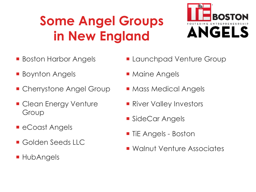# **Some Angel Groups in New England**



- **Boston Harbor Angels**
- **Boynton Angels**
- **Cherrystone Angel Group**
- **Clean Energy Venture** Group
- **E** eCoast Angels
- Golden Seeds LLC
- **HubAngels**
- **Launchpad Venture Group**
- **Maine Angels**
- **Mass Medical Angels**
- **River Valley Investors**
- **SideCar Angels**
- **TiE Angels Boston**
- **Nalnut Venture Associates**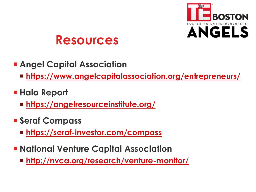

## **Resources**

- **Angel Capital Association**
	- **<https://www.angelcapitalassociation.org/entrepreneurs/>**
- **Halo Report** 
	- **<https://angelresourceinstitute.org/>**
- **Seraf Compass** 
	- **<https://seraf-investor.com/compass>**
- **Example 1 National Venture Capital Association** 
	- **<http://nvca.org/research/venture-monitor/>**